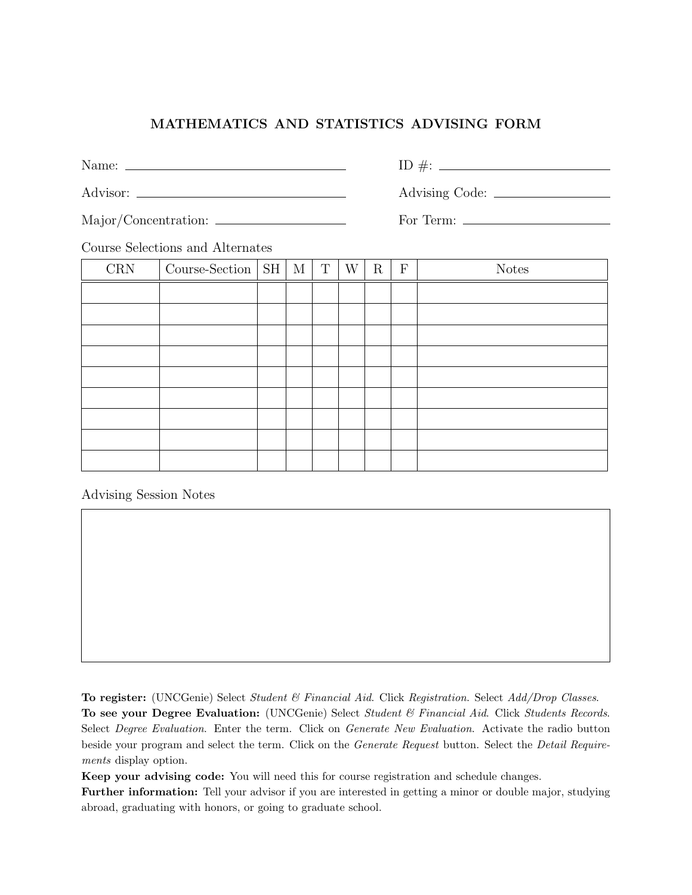## MATHEMATICS AND STATISTICS ADVISING FORM

Name: ID #:

Advisor: Advising Code:

Major/Concentration: For Term:

Course Selections and Alternates

| $\mathop{\rm CRN}\nolimits$ | Course-Section $\vert$ SH $\vert$ M |  | $\mathbf T$ | W | $\rm R$ | ${\bf F}$ | <b>Notes</b> |
|-----------------------------|-------------------------------------|--|-------------|---|---------|-----------|--------------|
|                             |                                     |  |             |   |         |           |              |
|                             |                                     |  |             |   |         |           |              |
|                             |                                     |  |             |   |         |           |              |
|                             |                                     |  |             |   |         |           |              |
|                             |                                     |  |             |   |         |           |              |
|                             |                                     |  |             |   |         |           |              |
|                             |                                     |  |             |   |         |           |              |
|                             |                                     |  |             |   |         |           |              |
|                             |                                     |  |             |   |         |           |              |

Advising Session Notes

To register: (UNCGenie) Select Student & Financial Aid. Click Registration. Select Add/Drop Classes.

To see your Degree Evaluation: (UNCGenie) Select Student & Financial Aid. Click Students Records. Select Degree Evaluation. Enter the term. Click on Generate New Evaluation. Activate the radio button beside your program and select the term. Click on the Generate Request button. Select the Detail Requirements display option.

Keep your advising code: You will need this for course registration and schedule changes.

Further information: Tell your advisor if you are interested in getting a minor or double major, studying abroad, graduating with honors, or going to graduate school.

| T   |  |  |
|-----|--|--|
| . . |  |  |
|     |  |  |